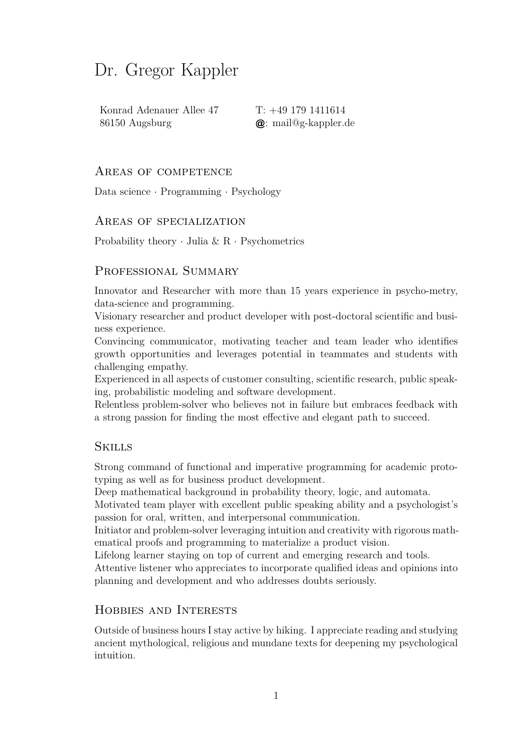# Dr. Gregor Kappler

Konrad Adenauer Allee 47 T: +49 179 1411614 86150 Augsburg @: mail@g-kappler.de

#### Areas of competence

Data science *·* Programming *·* Psychology

#### Areas of specialization

Probability theory *·* Julia & R *·* Psychometrics

#### PROFESSIONAL SUMMARY

Innovator and Researcher with more than 15 years experience in psycho-metry, data-science and programming.

Visionary researcher and product developer with post-doctoral scientific and business experience.

Convincing communicator, motivating teacher and team leader who identifies growth opportunities and leverages potential in teammates and students with challenging empathy.

Experienced in all aspects of customer consulting, scientific research, public speaking, probabilistic modeling and software development.

Relentless problem-solver who believes not in failure but embraces feedback with a strong passion for finding the most effective and elegant path to succeed.

#### Skills

Strong command of functional and imperative programming for academic prototyping as well as for business product development.

Deep mathematical background in probability theory, logic, and automata.

Motivated team player with excellent public speaking ability and a psychologist's passion for oral, written, and interpersonal communication.

Initiator and problem-solver leveraging intuition and creativity with rigorous mathematical proofs and programming to materialize a product vision.

Lifelong learner staying on top of current and emerging research and tools.

Attentive listener who appreciates to incorporate qualified ideas and opinions into planning and development and who addresses doubts seriously.

#### Hobbies and Interests

Outside of business hours I stay active by hiking. I appreciate reading and studying ancient mythological, religious and mundane texts for deepening my psychological intuition.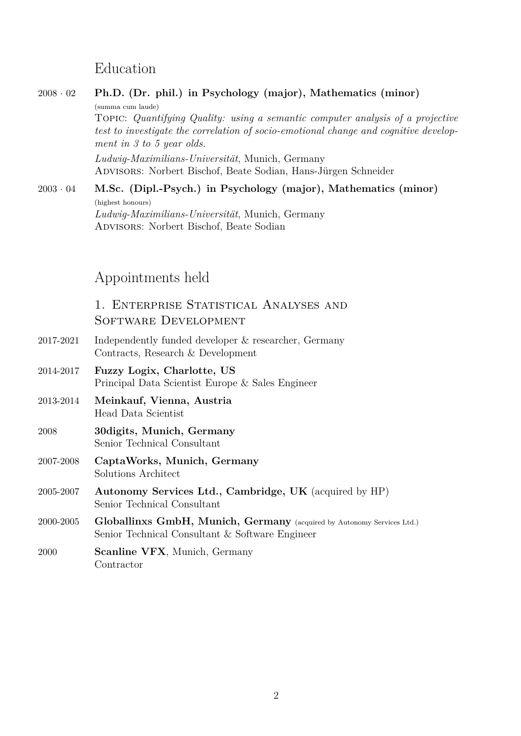## Education

# <sup>2008</sup> *·* <sup>02</sup> **Ph.D. (Dr. phil.) in Psychology (major), Mathematics (minor)** (summa cum laude) Topic: *Quantifying Quality: using a semantic computer analysis of a projective test to investigate the correlation of socio-emotional change and cognitive development in 3 to 5 year olds. Ludwig-Maximilians-Universität*, Munich, Germany Advisors: Norbert Bischof, Beate Sodian, Hans-Jürgen Schneider <sup>2003</sup> *·* <sup>04</sup> **M.Sc. (Dipl.-Psych.) in Psychology (major), Mathematics (minor)** (highest honours) *Ludwig-Maximilians-Universität*, Munich, Germany Advisors: Norbert Bischof, Beate Sodian Appointments held 1. Enterprise Statistical Analyses and Software Development 2017-2021 Independently funded developer & researcher, Germany Contracts, Research & Development 2014-2017 **Fuzzy Logix, Charlotte, US** Principal Data Scientist Europe & Sales Engineer 2013-2014 **Meinkauf, Vienna, Austria** Head Data Scientist

- 2008 **30digits, Munich, Germany** [Senior Tech](http://www.meinkauf.at)nical Consultant
- 2007-2008 **CaptaWorks, Munich, Germany** [Solutions](http://30digits.de/) Architect
- 2005-2007 **Autonomy Services Ltd., Cambridge, UK** (acquired by HP) Senior Technical Consultant
- 2000-2005 **Globallinxs GmbH, Munich, Germany** (acquired by Autonomy Services Ltd.) [Senior Technical Consultant](http://www.autonomy.com/index.en.html) & Software Engineer
- 2000 **Scanline VFX**, Munich, Germany **Contractor**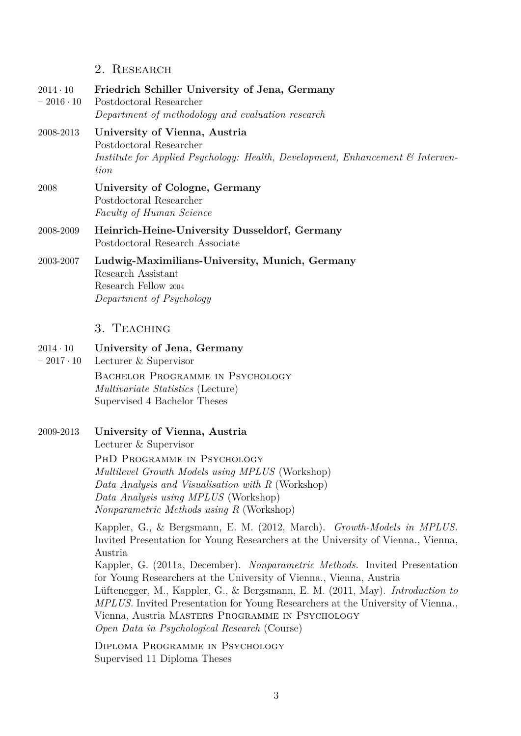#### 2. Research

- $2014 \cdot 10$  $-2016 \cdot 10$ **Friedrich Schiller University of Jena, Germany** Postdoctoral Researcher *Department of methodology and evaluation research*
- 2008-2013 **University of Vienna, Austria** Postdoctoral Researcher *Institute for Applied Psychology: Health, Development, Enhancement & Intervention*
- 2008 **University of Cologne, Germany** Postdoctoral Researcher *Faculty of Human Science*
- 2008-2009 **Heinrich-Heine-University Dusseldorf, Germany** Postdoctoral Research Associate
- 2003-2007 **Ludwig-Maximilians-University, Munich, Germany** Research Assistant Research Fellow <sup>2004</sup> *Department of Psychology*

#### 3. Teaching

- $2014 \cdot 10$ **University of Jena, Germany**
- $-2017 \cdot 10$ Lecturer & Supervisor BACHELOR PROGRAMME IN PSYCHOLOGY *Multivariate Statistics* (Lecture) Supervised 4 Bachelor Theses

#### 2009-2013 **University of Vienna, Austria**

Lecturer & Supervisor

PhD Programme in Psychology *Multilevel Growth Models using MPLUS* (Workshop) *Data Analysis and Visualisation with R* (Workshop) *Data Analysis using MPLUS* (Workshop) *Nonparametric Methods using R* (Workshop)

Kappler, G., & Bergsmann, E. M. (2012, March). *Growth-Models in MPLUS.* Invited Presentation for Young Researchers at the University of Vienna., Vienna, Austria

Kappler, G. (2011a, December). *Nonparametric Methods.* Invited Presentation for Young Researchers at the University of Vienna., Vienna, Austria Lüftenegger, M., Kappler, G., & Bergsmann, E. M. (2011, May). *Introduction to MPLUS.* Invited Presentation for Young Researchers at the University of Vienna., Vienna, Austria Masters Programme in Psychology *Open Data in Psychological Research* (Course)

Diploma Programme in Psychology Supervised 11 Diploma Theses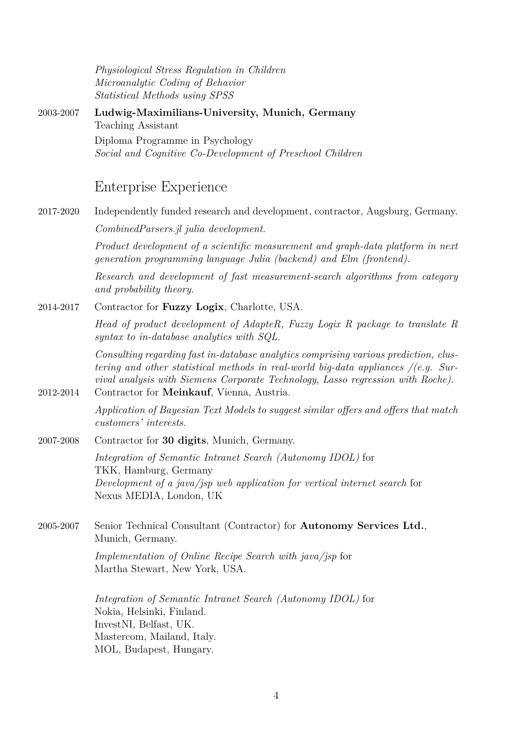*Physiological Stress Regulation in Children Microanalytic Coding of Behavior Statistical Methods using SPSS*

2003-2007 **Ludwig-Maximilians-University, Munich, Germany** Teaching Assistant Diploma Programme in Psychology *Social and Cognitive Co-Development of Preschool Children*

## Enterprise Experience

2017-2020 Independently funded research and development, contractor, Augsburg, Germany. *CombinedParsers.jl julia development*.

> *Product development of a scientific measurement and graph-data platform in next generation programming language Julia (backend) and Elm (frontend).*

> *[Research and develo](https://github.com/gkappler/CombinedParsers.jl)pment of fast measurement-search algorithms from category and probability theory.*

2014-2017 Contractor for **Fuzzy Logix**, Charlotte, USA.

*Head of product development of AdapteR, Fuzzy Logix R package to translate R syntax to in-database analytics with SQL.*

*Consulting regarding fast in-database analytics comprising various prediction, clustering and other statistical methods in real-world big-data appliances /(e.g. Survival analysis with Siemens Corporate Technology*, *Lasso regression with Roche)*.

- 2012-2014 Contractor for **Meinkauf**, Vienna, Austria. *Application of Bayesian Text Models to suggest similar offers and offers that match customers' interests.*
- 2007-2008 Contractor for **[30 digits](http://www.meinkauf.at)**, Munich, Germany.

*Integration of Semantic Intranet Search (Autonomy IDOL)* for TKK, Hamburg, Germany *Development o[f a java/js](http://www.30digits.de/)p web application for vertical internet search* for Nexus MEDIA, London, UK

2005-2007 Senior Technical Consultant (Contractor) for **Autonomy Services Ltd.**, Munich, Germany.

> *Implementation of Online Recipe Search with [java/jsp](http://www.autonomy.com/index.en.html)* for Martha Stewart, New York, USA.

*Integration of Semantic Intranet Search (Autonomy IDOL)* for Nokia, Helsinki, Finland. InvestNI, Belfast, UK. Mastercom, Mailand, Italy. MOL, Budapest, Hungary.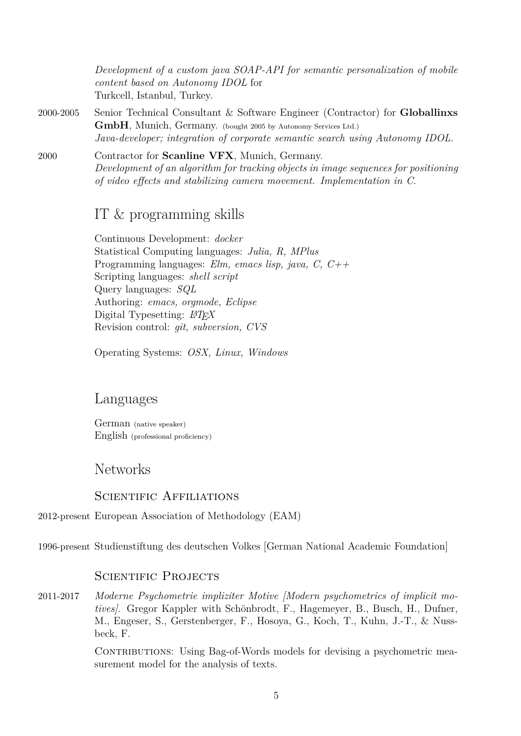*Development of a custom java SOAP-API for semantic personalization of mobile content based on Autonomy IDOL* for Turkcell, Istanbul, Turkey.

- 2000-2005 Senior Technical Consultant & Software Engineer (Contractor) for **Globallinxs GmbH**, Munich, Germany. (bought 2005 by Autonomy Services Ltd.) *Java-developer; integration of corporate semantic search using Autonomy IDOL.*
- 2000 Contractor for **Scanline VFX**, Munich, Germany. *Development of an algorithm for tracking [objects in image se](http://www.autonomy.com/index.en.html)quences for positioning of video effects and stabilizing camera movement. Implementation in C*.

# IT & programming skills

Continuous Development: *docker* Statistical Computing languages: *Julia, R, MPlus* Programming languages: *Elm, emacs lisp, java, C, C++* Scripting languages: *shell script* Query languages: *SQL* Authoring: *emacs, orgmode, Eclipse* Digital Typesetting: *LATEX* Revision control: *git, subversion, CVS*

Operating [System](http://www.gnu.org/s/emacs/)s: *[OSX, L](http://orgmode.org/)i[nux, W](http://www.eclipse.org/)indows*

# Languages

German (native speaker) English (professional proficiency)

# Networks

#### SCIENTIFIC AFFILIATIONS

2012-present European Association of Methodology (EAM)

1996-present [Studienstiftung des deutschen Volkes](http://www.eam-online.org) [German National Academic Foundation]

### SCIENTIFIC PROJECTS

2011-2017 *[Moderne Psychometrie impliziter Mo](http://www.studienstiftung.de/en/start.html%5D)tive [Modern psychometrics of implicit motives]*. Gregor Kappler with Schönbrodt, F., Hagemeyer, B., Busch, H., Dufner, M., Engeser, S., Gerstenberger, F., Hosoya, G., Koch, T., Kuhn, J.-T., & Nussbeck, F.

> CONTRIBUTIONS: Using Bag-of-Words models for devising a psychometric measurement model for the analysis of texts.